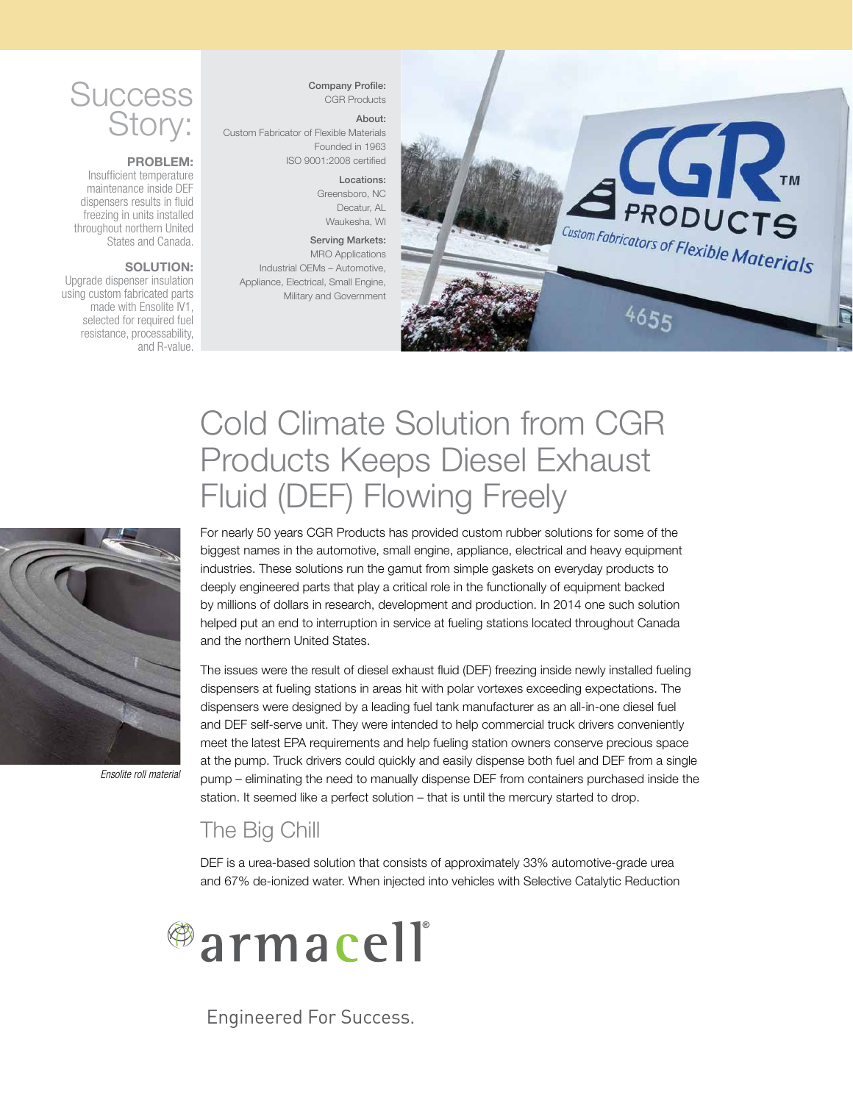# **Success** Story:

### PROBLEM:

Insufficient temperature maintenance inside DEF dispensers results in fluid freezing in units installed throughout northern United States and Canada.

### SOLUTION:

Upgrade dispenser insulation using custom fabricated parts made with Ensolite IV1, selected for required fuel resistance, processability, and R-value.

Company Profile: CGR Products

## About:

Custom Fabricator of Flexible Materials Founded in 1963 ISO 9001:2008 certified

Locations:

Greensboro, NC Decatur, AL Waukesha, WI

#### Serving Markets: MRO Applications Industrial OEMs – Automotive,

Appliance, Electrical, Small Engine, Military and Government



# Cold Climate Solution from CGR Products Keeps Diesel Exhaust Fluid (DEF) Flowing Freely



*Ensolite roll material*

For nearly 50 years CGR Products has provided custom rubber solutions for some of the biggest names in the automotive, small engine, appliance, electrical and heavy equipment industries. These solutions run the gamut from simple gaskets on everyday products to deeply engineered parts that play a critical role in the functionally of equipment backed by millions of dollars in research, development and production. In 2014 one such solution helped put an end to interruption in service at fueling stations located throughout Canada and the northern United States.

The issues were the result of diesel exhaust fluid (DEF) freezing inside newly installed fueling dispensers at fueling stations in areas hit with polar vortexes exceeding expectations. The dispensers were designed by a leading fuel tank manufacturer as an all-in-one diesel fuel and DEF self-serve unit. They were intended to help commercial truck drivers conveniently meet the latest EPA requirements and help fueling station owners conserve precious space at the pump. Truck drivers could quickly and easily dispense both fuel and DEF from a single pump – eliminating the need to manually dispense DEF from containers purchased inside the station. It seemed like a perfect solution – that is until the mercury started to drop.

## The Big Chill

DEF is a urea-based solution that consists of approximately 33% automotive-grade urea and 67% de-ionized water. When injected into vehicles with Selective Catalytic Reduction



Engineered For Success.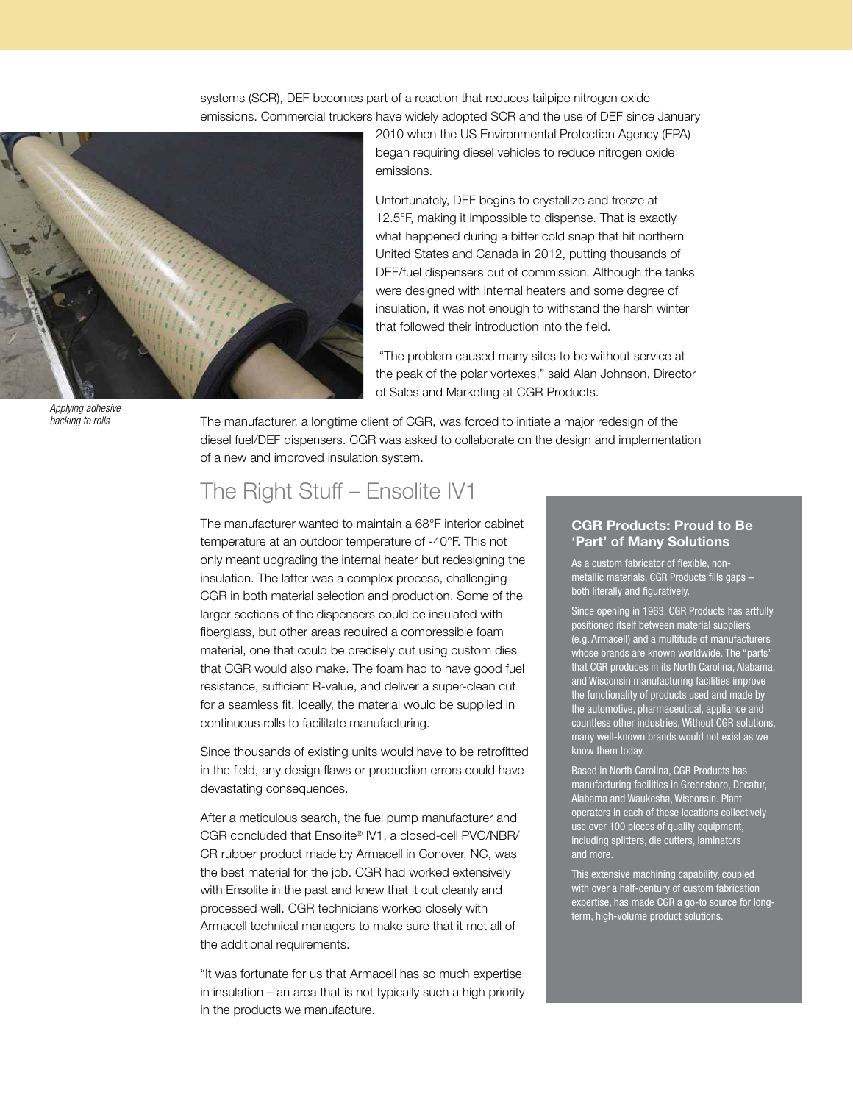systems (SCR), DEF becomes part of a reaction that reduces tailpipe nitrogen oxide emissions. Commercial truckers have widely adopted SCR and the use of DEF since January



*Applying adhesive backing to rolls*

2010 when the US Environmental Protection Agency (EPA) began requiring diesel vehicles to reduce nitrogen oxide emissions.

Unfortunately, DEF begins to crystallize and freeze at 12.5°F, making it impossible to dispense. That is exactly what happened during a bitter cold snap that hit northern United States and Canada in 2012, putting thousands of DEF/fuel dispensers out of commission. Although the tanks were designed with internal heaters and some degree of insulation, it was not enough to withstand the harsh winter that followed their introduction into the field.

 "The problem caused many sites to be without service at the peak of the polar vortexes," said Alan Johnson, Director of Sales and Marketing at CGR Products.

The manufacturer, a longtime client of CGR, was forced to initiate a major redesign of the diesel fuel/DEF dispensers. CGR was asked to collaborate on the design and implementation of a new and improved insulation system.

# The Right Stuff – Ensolite IV1

The manufacturer wanted to maintain a 68°F interior cabinet temperature at an outdoor temperature of -40°F. This not only meant upgrading the internal heater but redesigning the insulation. The latter was a complex process, challenging CGR in both material selection and production. Some of the larger sections of the dispensers could be insulated with fiberglass, but other areas required a compressible foam material, one that could be precisely cut using custom dies that CGR would also make. The foam had to have good fuel resistance, sufficient R-value, and deliver a super-clean cut for a seamless fit. Ideally, the material would be supplied in continuous rolls to facilitate manufacturing.

Since thousands of existing units would have to be retrofitted in the field, any design flaws or production errors could have devastating consequences.

After a meticulous search, the fuel pump manufacturer and CGR concluded that Ensolite® IV1, a closed-cell PVC/NBR/ CR rubber product made by Armacell in Conover, NC, was the best material for the job. CGR had worked extensively with Ensolite in the past and knew that it cut cleanly and processed well. CGR technicians worked closely with Armacell technical managers to make sure that it met all of the additional requirements.

"It was fortunate for us that Armacell has so much expertise in insulation – an area that is not typically such a high priority in the products we manufacture.

## CGR Products: Proud to Be 'Part' of Many Solutions

As a custom fabricator of flexible, nonmetallic materials, CGR Products fills gaps – both literally and figuratively.

Since opening in 1963, CGR Products has artfully positioned itself between material suppliers (e.g. Armacell) and a multitude of manufacturers whose brands are known worldwide. The "parts" that CGR produces in its North Carolina, Alabama, and Wisconsin manufacturing facilities improve the functionality of products used and made by the automotive, pharmaceutical, appliance and countless other industries. Without CGR solutions, many well-known brands would not exist as we know them today.

Based in North Carolina, CGR Products has manufacturing facilities in Greensboro, Decatur, Alabama and Waukesha, Wisconsin. Plant operators in each of these locations collectively use over 100 pieces of quality equipment, including splitters, die cutters, laminators and more.

This extensive machining capability, coupled with over a half-century of custom fabrication pertise, has made CGR a go-to source for longterm, high-volume product solutions.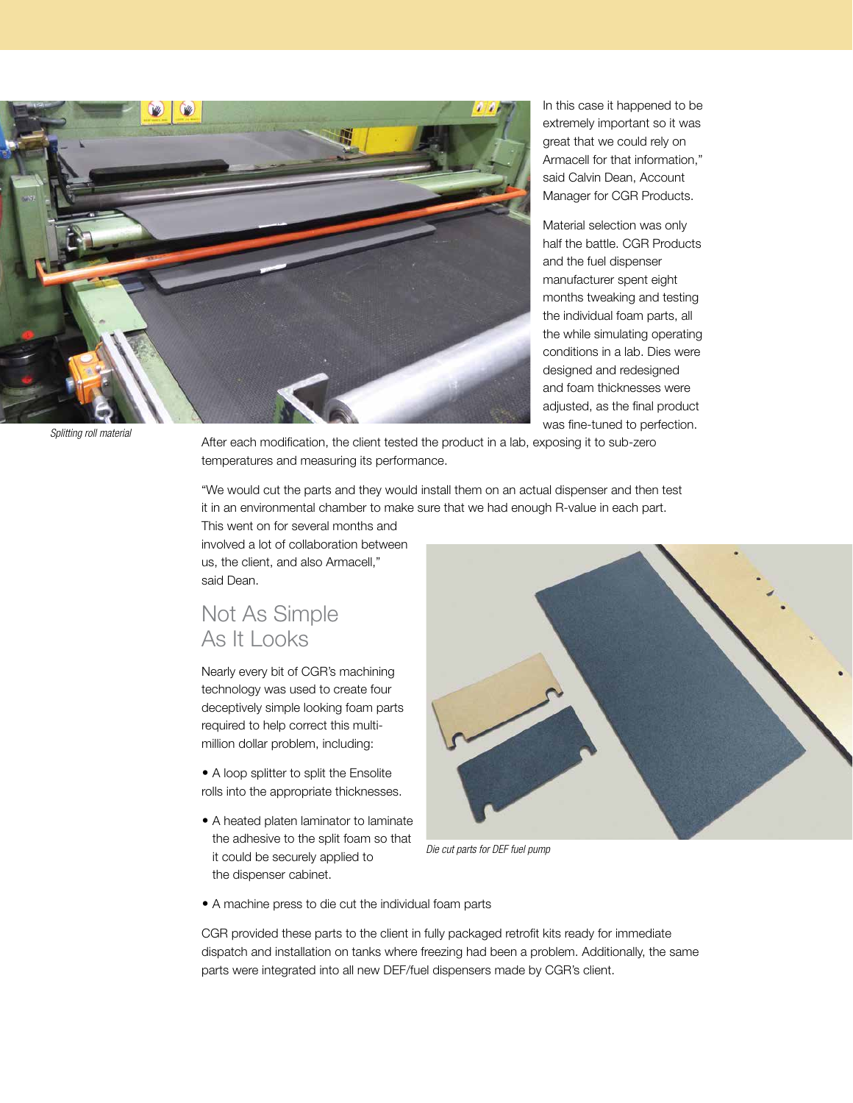

In this case it happened to be extremely important so it was great that we could rely on Armacell for that information," said Calvin Dean, Account Manager for CGR Products.

Material selection was only half the battle. CGR Products and the fuel dispenser manufacturer spent eight months tweaking and testing the individual foam parts, all the while simulating operating conditions in a lab. Dies were designed and redesigned and foam thicknesses were adjusted, as the final product was fine-tuned to perfection.

*Splitting roll material*

After each modification, the client tested the product in a lab, exposing it to sub-zero temperatures and measuring its performance.

"We would cut the parts and they would install them on an actual dispenser and then test it in an environmental chamber to make sure that we had enough R-value in each part.

This went on for several months and involved a lot of collaboration between us, the client, and also Armacell," said Dean.

# Not As Simple As It Looks

Nearly every bit of CGR's machining technology was used to create four deceptively simple looking foam parts required to help correct this multimillion dollar problem, including:

• A loop splitter to split the Ensolite rolls into the appropriate thicknesses.

• A heated platen laminator to laminate the adhesive to the split foam so that it could be securely applied to the dispenser cabinet.



*Die cut parts for DEF fuel pump* 

• A machine press to die cut the individual foam parts

CGR provided these parts to the client in fully packaged retrofit kits ready for immediate dispatch and installation on tanks where freezing had been a problem. Additionally, the same parts were integrated into all new DEF/fuel dispensers made by CGR's client.